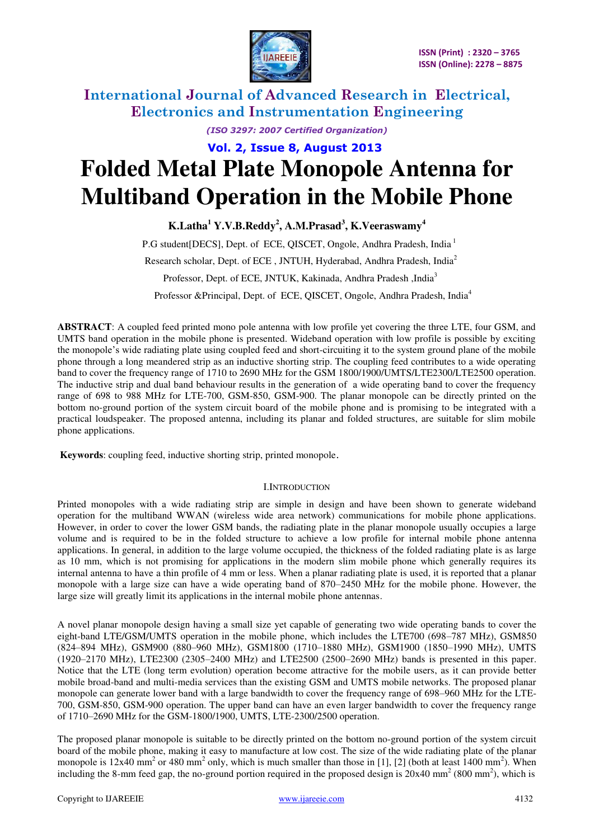

*(ISO 3297: 2007 Certified Organization)* 

 **Vol. 2, Issue 8, August 2013**

# **Folded Metal Plate Monopole Antenna for Multiband Operation in the Mobile Phone**

**K.Latha<sup>1</sup> Y.V.B.Reddy<sup>2</sup> , A.M.Prasad<sup>3</sup> , K.Veeraswamy<sup>4</sup>** 

P.G student [DECS], Dept. of ECE, QISCET, Ongole, Andhra Pradesh, India<sup>1</sup> Research scholar, Dept. of ECE , JNTUH, Hyderabad, Andhra Pradesh, India<sup>2</sup> Professor, Dept. of ECE, JNTUK, Kakinada, Andhra Pradesh ,India<sup>3</sup> Professor &Principal, Dept. of ECE, QISCET, Ongole, Andhra Pradesh, India<sup>4</sup>

**ABSTRACT**: A coupled feed printed mono pole antenna with low profile yet covering the three LTE, four GSM, and UMTS band operation in the mobile phone is presented. Wideband operation with low profile is possible by exciting the monopole's wide radiating plate using coupled feed and short-circuiting it to the system ground plane of the mobile phone through a long meandered strip as an inductive shorting strip. The coupling feed contributes to a wide operating band to cover the frequency range of 1710 to 2690 MHz for the GSM 1800/1900/UMTS/LTE2300/LTE2500 operation. The inductive strip and dual band behaviour results in the generation of a wide operating band to cover the frequency range of 698 to 988 MHz for LTE-700, GSM-850, GSM-900. The planar monopole can be directly printed on the bottom no-ground portion of the system circuit board of the mobile phone and is promising to be integrated with a practical loudspeaker. The proposed antenna, including its planar and folded structures, are suitable for slim mobile phone applications.

 **Keywords**: coupling feed, inductive shorting strip, printed monopole.

#### I.INTRODUCTION

Printed monopoles with a wide radiating strip are simple in design and have been shown to generate wideband operation for the multiband WWAN (wireless wide area network) communications for mobile phone applications. However, in order to cover the lower GSM bands, the radiating plate in the planar monopole usually occupies a large volume and is required to be in the folded structure to achieve a low profile for internal mobile phone antenna applications. In general, in addition to the large volume occupied, the thickness of the folded radiating plate is as large as 10 mm, which is not promising for applications in the modern slim mobile phone which generally requires its internal antenna to have a thin profile of 4 mm or less. When a planar radiating plate is used, it is reported that a planar monopole with a large size can have a wide operating band of 870–2450 MHz for the mobile phone. However, the large size will greatly limit its applications in the internal mobile phone antennas.

A novel planar monopole design having a small size yet capable of generating two wide operating bands to cover the eight-band LTE/GSM/UMTS operation in the mobile phone, which includes the LTE700 (698–787 MHz), GSM850 (824–894 MHz), GSM900 (880–960 MHz), GSM1800 (1710–1880 MHz), GSM1900 (1850–1990 MHz), UMTS (1920–2170 MHz), LTE2300 (2305–2400 MHz) and LTE2500 (2500–2690 MHz) bands is presented in this paper. Notice that the LTE (long term evolution) operation become attractive for the mobile users, as it can provide better mobile broad-band and multi-media services than the existing GSM and UMTS mobile networks. The proposed planar monopole can generate lower band with a large bandwidth to cover the frequency range of 698–960 MHz for the LTE-700, GSM-850, GSM-900 operation. The upper band can have an even larger bandwidth to cover the frequency range of 1710–2690 MHz for the GSM-1800/1900, UMTS, LTE-2300/2500 operation.

The proposed planar monopole is suitable to be directly printed on the bottom no-ground portion of the system circuit board of the mobile phone, making it easy to manufacture at low cost. The size of the wide radiating plate of the planar monopole is 12x40 mm<sup>2</sup> or 480 mm<sup>2</sup> only, which is much smaller than those in [1], [2] (both at least 1400 mm<sup>2</sup>). When including the 8-mm feed gap, the no-ground portion required in the proposed design is  $20x40$  mm<sup>2</sup> (800 mm<sup>2</sup>), which is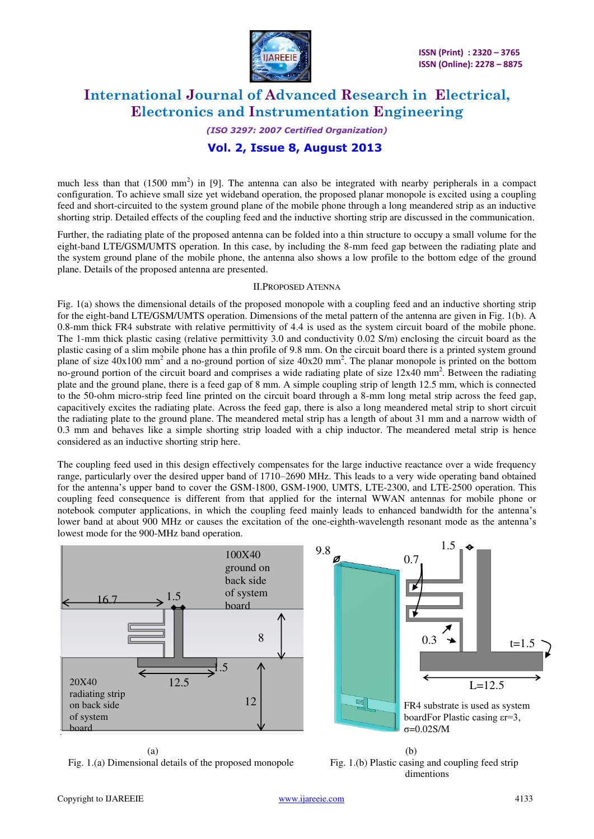

#### *(ISO 3297: 2007 Certified Organization)*

## **Vol. 2, Issue 8, August 2013**

much less than that  $(1500 \text{ mm}^2)$  in [9]. The antenna can also be integrated with nearby peripherals in a compact configuration. To achieve small size yet wideband operation, the proposed planar monopole is excited using a coupling feed and short-circuited to the system ground plane of the mobile phone through a long meandered strip as an inductive shorting strip. Detailed effects of the coupling feed and the inductive shorting strip are discussed in the communication.

Further, the radiating plate of the proposed antenna can be folded into a thin structure to occupy a small volume for the eight-band LTE/GSM/UMTS operation. In this case, by including the 8-mm feed gap between the radiating plate and the system ground plane of the mobile phone, the antenna also shows a low profile to the bottom edge of the ground plane. Details of the proposed antenna are presented.

#### II.PROPOSED ATENNA

Fig. 1(a) shows the dimensional details of the proposed monopole with a coupling feed and an inductive shorting strip for the eight-band LTE/GSM/UMTS operation. Dimensions of the metal pattern of the antenna are given in Fig. 1(b). A 0.8-mm thick FR4 substrate with relative permittivity of 4.4 is used as the system circuit board of the mobile phone. The 1-mm thick plastic casing (relative permittivity 3.0 and conductivity 0.02 S/m) enclosing the circuit board as the plastic casing of a slim mobile phone has a thin profile of 9.8 mm. On the circuit board there is a printed system ground plane of size  $40x100$  mm<sup>2</sup> and a no-ground portion of size  $40x20$  mm<sup>2</sup>. The planar monopole is printed on the bottom no-ground portion of the circuit board and comprises a wide radiating plate of size 12x40 mm<sup>2</sup>. Between the radiating plate and the ground plane, there is a feed gap of 8 mm. A simple coupling strip of length 12.5 mm, which is connected to the 50-ohm micro-strip feed line printed on the circuit board through a 8-mm long metal strip across the feed gap, capacitively excites the radiating plate. Across the feed gap, there is also a long meandered metal strip to short circuit the radiating plate to the ground plane. The meandered metal strip has a length of about 31 mm and a narrow width of 0.3 mm and behaves like a simple shorting strip loaded with a chip inductor. The meandered metal strip is hence considered as an inductive shorting strip here.

The coupling feed used in this design effectively compensates for the large inductive reactance over a wide frequency range, particularly over the desired upper band of 1710–2690 MHz. This leads to a very wide operating band obtained for the antenna's upper band to cover the GSM-1800, GSM-1900, UMTS, LTE-2300, and LTE-2500 operation. This coupling feed consequence is different from that applied for the internal WWAN antennas for mobile phone or notebook computer applications, in which the coupling feed mainly leads to enhanced bandwidth for the antenna's lower band at about 900 MHz or causes the excitation of the one-eighth-wavelength resonant mode as the antenna's lowest mode for the 900-MHz band operation.



Fig. 1.(a) Dimensional details of the proposed monopole Fig. 1.(b) Plastic casing and coupling feed strip

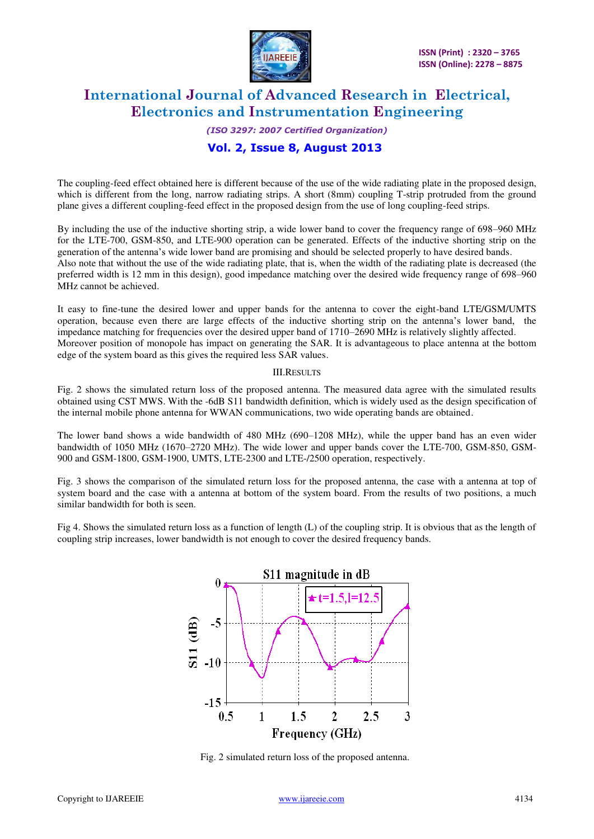

## *(ISO 3297: 2007 Certified Organization)*

## **Vol. 2, Issue 8, August 2013**

The coupling-feed effect obtained here is different because of the use of the wide radiating plate in the proposed design, which is different from the long, narrow radiating strips. A short (8mm) coupling T-strip protruded from the ground plane gives a different coupling-feed effect in the proposed design from the use of long coupling-feed strips.

By including the use of the inductive shorting strip, a wide lower band to cover the frequency range of 698–960 MHz for the LTE-700, GSM-850, and LTE-900 operation can be generated. Effects of the inductive shorting strip on the generation of the antenna's wide lower band are promising and should be selected properly to have desired bands. Also note that without the use of the wide radiating plate, that is, when the width of the radiating plate is decreased (the preferred width is 12 mm in this design), good impedance matching over the desired wide frequency range of 698–960 MHz cannot be achieved.

It easy to fine-tune the desired lower and upper bands for the antenna to cover the eight-band LTE/GSM/UMTS operation, because even there are large effects of the inductive shorting strip on the antenna's lower band, the impedance matching for frequencies over the desired upper band of 1710–2690 MHz is relatively slightly affected. Moreover position of monopole has impact on generating the SAR. It is advantageous to place antenna at the bottom edge of the system board as this gives the required less SAR values.

#### III.RESULTS

Fig. 2 shows the simulated return loss of the proposed antenna. The measured data agree with the simulated results obtained using CST MWS. With the -6dB S11 bandwidth definition, which is widely used as the design specification of the internal mobile phone antenna for WWAN communications, two wide operating bands are obtained.

The lower band shows a wide bandwidth of 480 MHz (690–1208 MHz), while the upper band has an even wider bandwidth of 1050 MHz (1670–2720 MHz). The wide lower and upper bands cover the LTE-700, GSM-850, GSM-900 and GSM-1800, GSM-1900, UMTS, LTE-2300 and LTE-/2500 operation, respectively.

Fig. 3 shows the comparison of the simulated return loss for the proposed antenna, the case with a antenna at top of system board and the case with a antenna at bottom of the system board. From the results of two positions, a much similar bandwidth for both is seen.

Fig 4. Shows the simulated return loss as a function of length (L) of the coupling strip. It is obvious that as the length of coupling strip increases, lower bandwidth is not enough to cover the desired frequency bands.



Fig. 2 simulated return loss of the proposed antenna.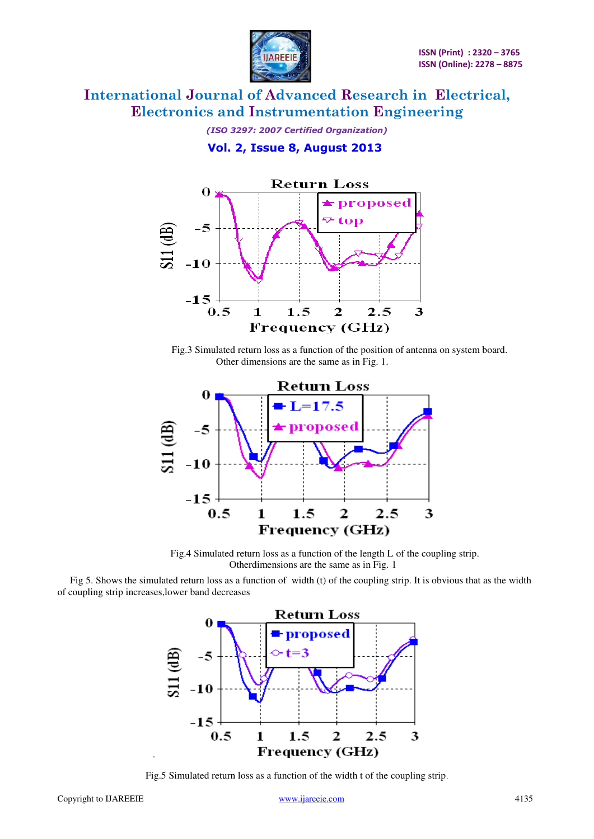

*(ISO 3297: 2007 Certified Organization)*   **Vol. 2, Issue 8, August 2013**



 Fig.3 Simulated return loss as a function of the position of antenna on system board. Other dimensions are the same as in Fig. 1.



 Fig.4 Simulated return loss as a function of the length L of the coupling strip. Otherdimensions are the same as in Fig. 1

 Fig 5. Shows the simulated return loss as a function of width (t) of the coupling strip. It is obvious that as the width of coupling strip increases,lower band decreases



Fig.5 Simulated return loss as a function of the width t of the coupling strip.

.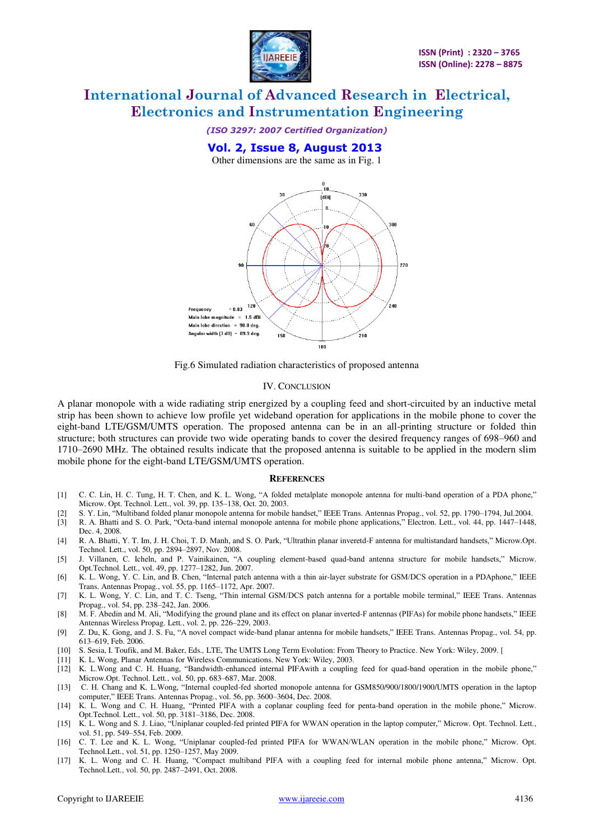

*(ISO 3297: 2007 Certified Organization)* 

## **Vol. 2, Issue 8, August 2013**

Other dimensions are the same as in Fig. 1



Fig.6 Simulated radiation characteristics of proposed antenna

#### IV. CONCLUSION

A planar monopole with a wide radiating strip energized by a coupling feed and short-circuited by an inductive metal strip has been shown to achieve low profile yet wideband operation for applications in the mobile phone to cover the eight-band LTE/GSM/UMTS operation. The proposed antenna can be in an all-printing structure or folded thin structure; both structures can provide two wide operating bands to cover the desired frequency ranges of 698–960 and 1710–2690 MHz. The obtained results indicate that the proposed antenna is suitable to be applied in the modern slim mobile phone for the eight-band LTE/GSM/UMTS operation.

#### **REFERENCES**

- [1] C. C. Lin, H. C. Tung, H. T. Chen, and K. L. Wong, "A folded metalplate monopole antenna for multi-band operation of a PDA phone," Microw. Opt. Technol. Lett., vol. 39, pp. 135–138, Oct. 20, 2003.
- [2] S. Y. Lin, "Multiband folded planar monopole antenna for mobile handset," IEEE Trans. Antennas Propag*.*, vol. 52, pp. 1790–1794, Jul.2004.
- [3] R. A. Bhatti and S. O. Park, "Octa-band internal monopole antenna for mobile phone applications," Electron. Lett*.*, vol. 44, pp. 1447–1448, Dec. 4, 2008.
- [4] R. A. Bhatti, Y. T. Im, J. H. Choi, T. D. Manh, and S. O. Park, "Ultrathin planar inveretd-F antenna for multistandard handsets," Microw.Opt. Technol. Lett., vol. 50, pp. 2894–2897, Nov. 2008.
- [5] J. Villanen, C. Icheln, and P. Vainikainen, "A coupling element-based quad-band antenna structure for mobile handsets," Microw. Opt.Technol. Lett*.*, vol. 49, pp. 1277–1282, Jun. 2007.
- [6] K. L. Wong, Y. C. Lin, and B. Chen, "Internal patch antenna with a thin air-layer substrate for GSM/DCS operation in a PDAphone," IEEE Trans. Antennas Propag*.*, vol. 55, pp. 1165–1172, Apr. 2007.
- [7] K. L. Wong, Y. C. Lin, and T. C. Tseng, "Thin internal GSM/DCS patch antenna for a portable mobile terminal," IEEE Trans. Antennas Propag., vol. 54, pp. 238–242, Jan. 2006.
- [8] M. F. Abedin and M. Ali, "Modifying the ground plane and its effect on planar inverted-F antennas (PIFAs) for mobile phone handsets," IEEE Antennas Wireless Propag. Lett*.*, vol. 2, pp. 226–229, 2003.
- [9] Z. Du, K. Gong, and J. S. Fu, "A novel compact wide-band planar antenna for mobile handsets," IEEE Trans. Antennas Propag*.*, vol. 54, pp. 613–619, Feb. 2006.
- [10] S. Sesia, I. Toufik, and M. Baker, Eds.*,* LTE, The UMTS Long Term Evolution: From Theory to Practice. New York: Wiley, 2009. [
- K. L. Wong, Planar Antennas for Wireless Communications. New York: Wiley, 2003.
- [12] K. L.Wong and C. H. Huang, "Bandwidth-enhanced internal PIFAwith a coupling feed for quad-band operation in the mobile phone," Microw.Opt. Technol. Lett*.*, vol. 50, pp. 683–687, Mar. 2008.
- [13] C. H. Chang and K. L.Wong, "Internal coupled-fed shorted monopole antenna for GSM850/900/1800/1900/UMTS operation in the laptop computer," IEEE Trans. Antennas Propag*.*, vol. 56, pp. 3600–3604, Dec. 2008.
- [14] K. L. Wong and C. H. Huang, "Printed PIFA with a coplanar coupling feed for penta-band operation in the mobile phone," Microw. Opt.Technol. Lett., vol. 50, pp. 3181–3186, Dec. 2008.
- [15] K. L. Wong and S. J. Liao, "Uniplanar coupled-fed printed PIFA for WWAN operation in the laptop computer," Microw. Opt. Technol. Lett*.*, vol. 51, pp. 549–554, Feb. 2009.
- [16] C. T. Lee and K. L. Wong, "Uniplanar coupled-fed printed PIFA for WWAN/WLAN operation in the mobile phone," Microw. Opt. Technol.Lett*.*, vol. 51, pp. 1250–1257, May 2009.
- [17] K. L. Wong and C. H. Huang, "Compact multiband PIFA with a coupling feed for internal mobile phone antenna," Microw. Opt. Technol.Lett*.*, vol. 50, pp. 2487–2491, Oct. 2008.